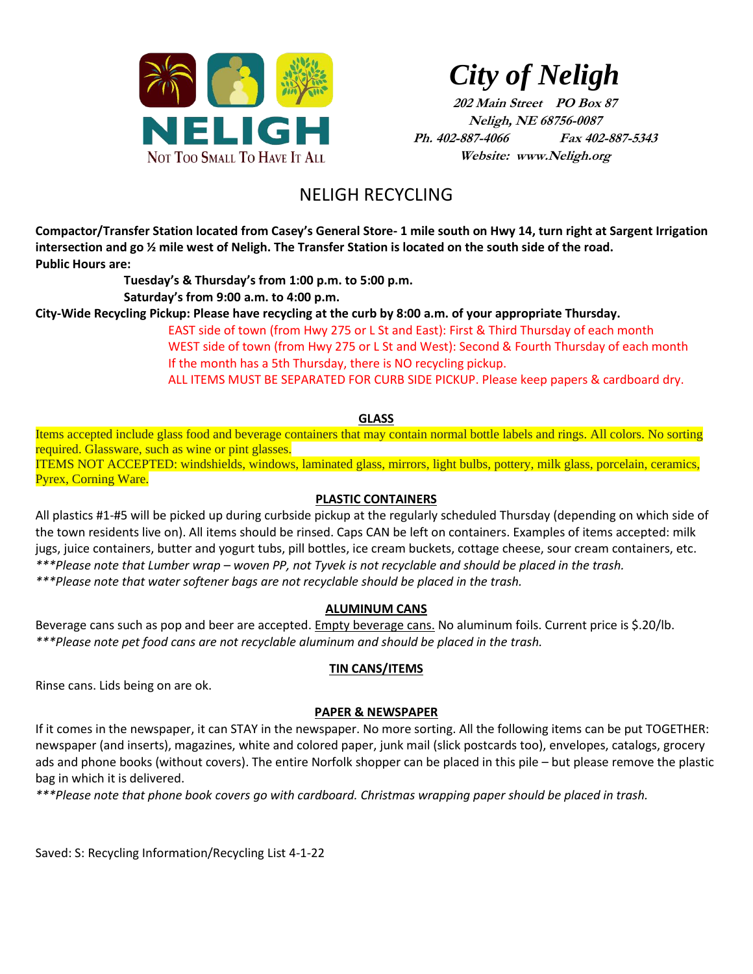

*City of Neligh*

**202 Main Street PO Box 87 Neligh, NE 68756-0087 Ph. 402-887-4066 Fax 402-887-5343 Website: www.Neligh.org**

# NELIGH RECYCLING

**Compactor/Transfer Station located from Casey's General Store- 1 mile south on Hwy 14, turn right at Sargent Irrigation intersection and go ½ mile west of Neligh. The Transfer Station is located on the south side of the road. Public Hours are:**

> **Tuesday's & Thursday's from 1:00 p.m. to 5:00 p.m. Saturday's from 9:00 a.m. to 4:00 p.m.**

**City-Wide Recycling Pickup: Please have recycling at the curb by 8:00 a.m. of your appropriate Thursday.**

EAST side of town (from Hwy 275 or L St and East): First & Third Thursday of each month WEST side of town (from Hwy 275 or L St and West): Second & Fourth Thursday of each month If the month has a 5th Thursday, there is NO recycling pickup.

ALL ITEMS MUST BE SEPARATED FOR CURB SIDE PICKUP. Please keep papers & cardboard dry.

#### **GLASS**

Items accepted include glass food and beverage containers that may contain normal bottle labels and rings. All colors. No sorting required. Glassware, such as wine or pint glasses.

ITEMS NOT ACCEPTED: windshields, windows, laminated glass, mirrors, light bulbs, pottery, milk glass, porcelain, ceramics, Pyrex, Corning Ware.

#### **PLASTIC CONTAINERS**

All plastics #1-#5 will be picked up during curbside pickup at the regularly scheduled Thursday (depending on which side of the town residents live on). All items should be rinsed. Caps CAN be left on containers. Examples of items accepted: milk jugs, juice containers, butter and yogurt tubs, pill bottles, ice cream buckets, cottage cheese, sour cream containers, etc. *\*\*\*Please note that Lumber wrap – woven PP, not Tyvek is not recyclable and should be placed in the trash. \*\*\*Please note that water softener bags are not recyclable should be placed in the trash.*

#### **ALUMINUM CANS**

Beverage cans such as pop and beer are accepted. Empty beverage cans. No aluminum foils. Current price is \$.20/lb. *\*\*\*Please note pet food cans are not recyclable aluminum and should be placed in the trash.*

#### **TIN CANS/ITEMS**

Rinse cans. Lids being on are ok.

#### **PAPER & NEWSPAPER**

If it comes in the newspaper, it can STAY in the newspaper. No more sorting. All the following items can be put TOGETHER: newspaper (and inserts), magazines, white and colored paper, junk mail (slick postcards too), envelopes, catalogs, grocery ads and phone books (without covers). The entire Norfolk shopper can be placed in this pile – but please remove the plastic bag in which it is delivered.

*\*\*\*Please note that phone book covers go with cardboard. Christmas wrapping paper should be placed in trash.*

Saved: S: Recycling Information/Recycling List 4-1-22